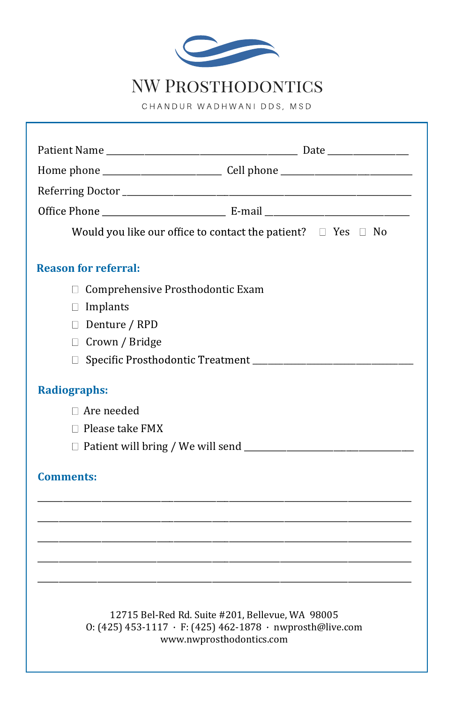

## NW PROSTHODONTICS

CHANDUR WADHWANI DDS, MSD

| Would you like our office to contact the patient? $\Box$ Yes $\Box$ No                                                                    |  |
|-------------------------------------------------------------------------------------------------------------------------------------------|--|
| <b>Reason for referral:</b>                                                                                                               |  |
| Comprehensive Prosthodontic Exam<br>П.                                                                                                    |  |
| $\Box$ Implants                                                                                                                           |  |
| Denture / RPD                                                                                                                             |  |
| □ Crown / Bridge                                                                                                                          |  |
|                                                                                                                                           |  |
| <b>Radiographs:</b>                                                                                                                       |  |
| $\Box$ Are needed                                                                                                                         |  |
| $\Box$ Please take FMX                                                                                                                    |  |
|                                                                                                                                           |  |
| <b>Comments:</b>                                                                                                                          |  |
|                                                                                                                                           |  |
|                                                                                                                                           |  |
|                                                                                                                                           |  |
|                                                                                                                                           |  |
| 12715 Bel-Red Rd. Suite #201, Bellevue, WA 98005<br>0: (425) 453-1117 · F: (425) 462-1878 · nwprosth@live.com<br>www.nwprosthodontics.com |  |